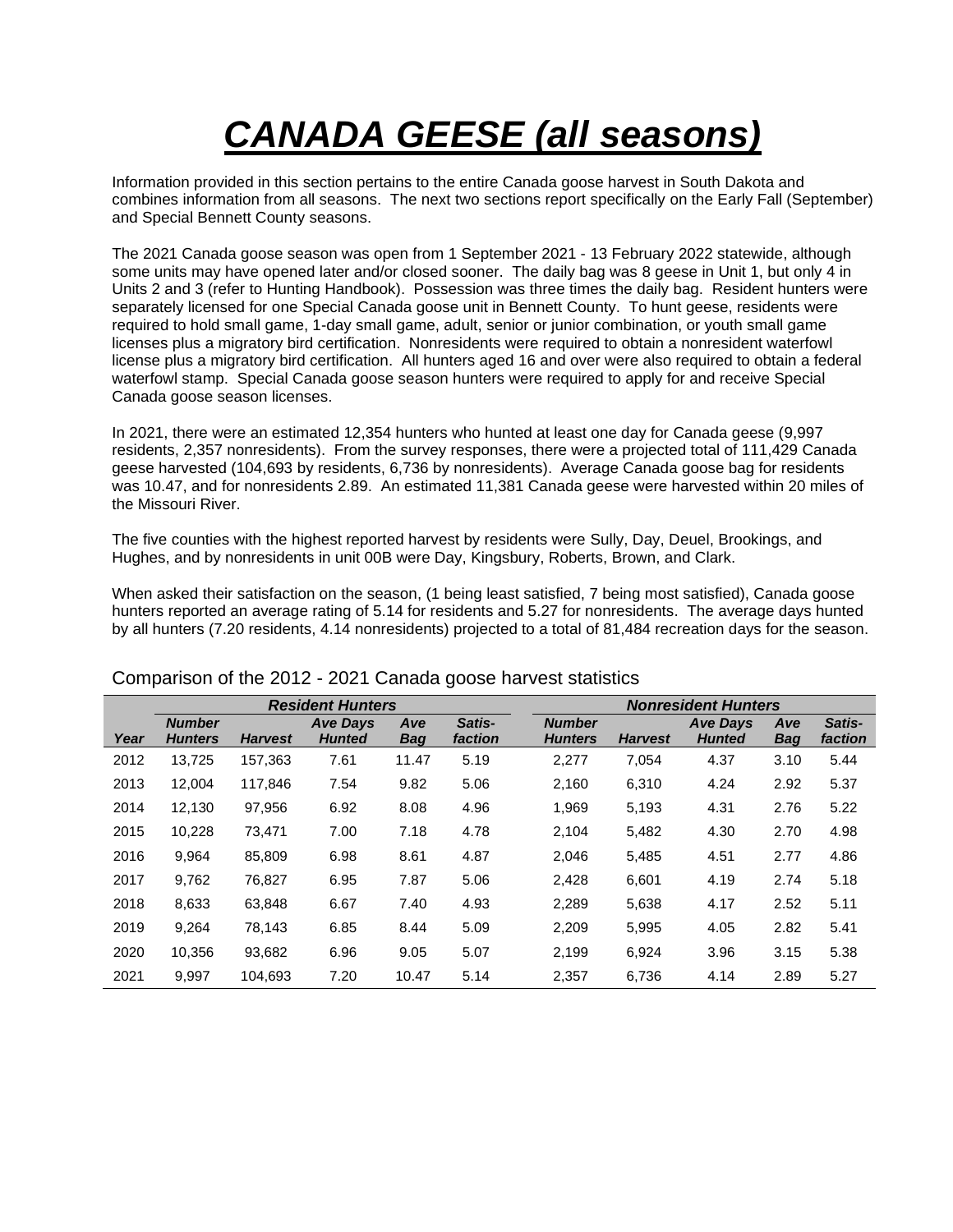# *CANADA GEESE (all seasons)*

Information provided in this section pertains to the entire Canada goose harvest in South Dakota and combines information from all seasons. The next two sections report specifically on the Early Fall (September) and Special Bennett County seasons.

The 2021 Canada goose season was open from 1 September 2021 - 13 February 2022 statewide, although some units may have opened later and/or closed sooner. The daily bag was 8 geese in Unit 1, but only 4 in Units 2 and 3 (refer to Hunting Handbook). Possession was three times the daily bag. Resident hunters were separately licensed for one Special Canada goose unit in Bennett County. To hunt geese, residents were required to hold small game, 1-day small game, adult, senior or junior combination, or youth small game licenses plus a migratory bird certification. Nonresidents were required to obtain a nonresident waterfowl license plus a migratory bird certification. All hunters aged 16 and over were also required to obtain a federal waterfowl stamp. Special Canada goose season hunters were required to apply for and receive Special Canada goose season licenses.

In 2021, there were an estimated 12,354 hunters who hunted at least one day for Canada geese (9,997 residents, 2,357 nonresidents). From the survey responses, there were a projected total of 111,429 Canada geese harvested (104,693 by residents, 6,736 by nonresidents). Average Canada goose bag for residents was 10.47, and for nonresidents 2.89. An estimated 11,381 Canada geese were harvested within 20 miles of the Missouri River.

The five counties with the highest reported harvest by residents were Sully, Day, Deuel, Brookings, and Hughes, and by nonresidents in unit 00B were Day, Kingsbury, Roberts, Brown, and Clark.

When asked their satisfaction on the season, (1 being least satisfied, 7 being most satisfied), Canada goose hunters reported an average rating of 5.14 for residents and 5.27 for nonresidents. The average days hunted by all hunters (7.20 residents, 4.14 nonresidents) projected to a total of 81,484 recreation days for the season.

|      |                                 |                | <b>Resident Hunters</b>          |                   | <b>Nonresident Hunters</b> |                                 |                |                                  |                   |                          |  |
|------|---------------------------------|----------------|----------------------------------|-------------------|----------------------------|---------------------------------|----------------|----------------------------------|-------------------|--------------------------|--|
| Year | <b>Number</b><br><b>Hunters</b> | <b>Harvest</b> | <b>Ave Days</b><br><b>Hunted</b> | Ave<br><b>Bag</b> | Satis-<br>faction          | <b>Number</b><br><b>Hunters</b> | <b>Harvest</b> | <b>Ave Days</b><br><b>Hunted</b> | Ave<br><b>Bag</b> | Satis-<br><i>faction</i> |  |
| 2012 | 13,725                          | 157,363        | 7.61                             | 11.47             | 5.19                       | 2,277                           | 7,054          | 4.37                             | 3.10              | 5.44                     |  |
| 2013 | 12,004                          | 117,846        | 7.54                             | 9.82              | 5.06                       | 2,160                           | 6,310          | 4.24                             | 2.92              | 5.37                     |  |
| 2014 | 12,130                          | 97,956         | 6.92                             | 8.08              | 4.96                       | 1,969                           | 5,193          | 4.31                             | 2.76              | 5.22                     |  |
| 2015 | 10,228                          | 73,471         | 7.00                             | 7.18              | 4.78                       | 2,104                           | 5,482          | 4.30                             | 2.70              | 4.98                     |  |
| 2016 | 9,964                           | 85,809         | 6.98                             | 8.61              | 4.87                       | 2,046                           | 5,485          | 4.51                             | 2.77              | 4.86                     |  |
| 2017 | 9,762                           | 76,827         | 6.95                             | 7.87              | 5.06                       | 2,428                           | 6,601          | 4.19                             | 2.74              | 5.18                     |  |
| 2018 | 8,633                           | 63,848         | 6.67                             | 7.40              | 4.93                       | 2,289                           | 5,638          | 4.17                             | 2.52              | 5.11                     |  |
| 2019 | 9,264                           | 78,143         | 6.85                             | 8.44              | 5.09                       | 2,209                           | 5,995          | 4.05                             | 2.82              | 5.41                     |  |
| 2020 | 10,356                          | 93,682         | 6.96                             | 9.05              | 5.07                       | 2,199                           | 6.924          | 3.96                             | 3.15              | 5.38                     |  |
| 2021 | 9.997                           | 104.693        | 7.20                             | 10.47             | 5.14                       | 2,357                           | 6,736          | 4.14                             | 2.89              | 5.27                     |  |

### Comparison of the 2012 - 2021 Canada goose harvest statistics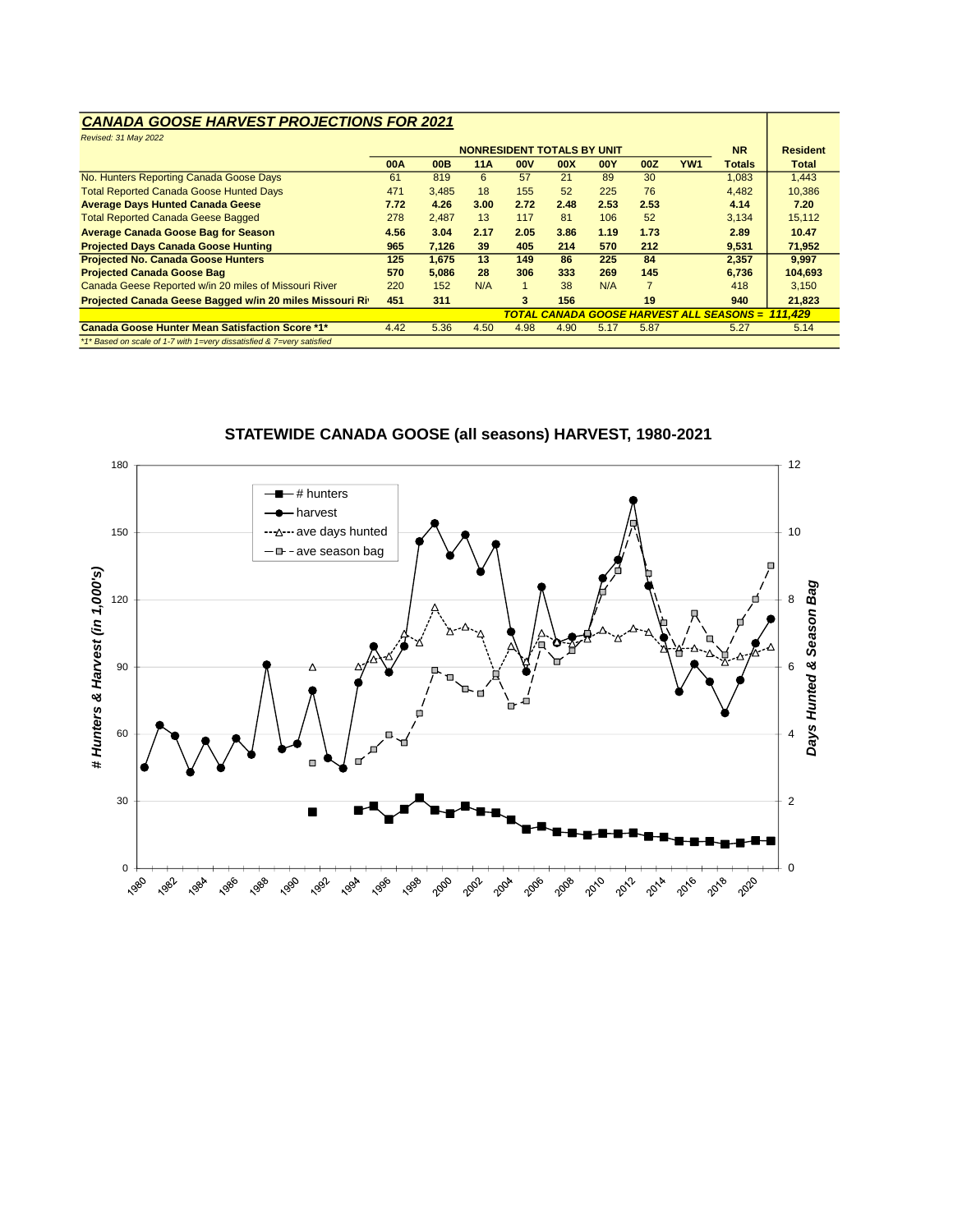### *CANADA GOOSE HARVEST PROJECTIONS FOR 2021*

| Revised: 31 May 2022                                                  |            |       |      |                                   |      |            |                |                 |                                                 |                 |
|-----------------------------------------------------------------------|------------|-------|------|-----------------------------------|------|------------|----------------|-----------------|-------------------------------------------------|-----------------|
|                                                                       |            |       |      | <b>NONRESIDENT TOTALS BY UNIT</b> |      |            |                |                 | <b>NR</b>                                       | <b>Resident</b> |
|                                                                       | <b>00A</b> | 00B   | 11A  | <b>OOV</b>                        | 00X  | <b>00Y</b> | 00Z            | YW <sub>1</sub> | <b>Totals</b>                                   | <b>Total</b>    |
| No. Hunters Reporting Canada Goose Days                               | 61         | 819   | 6    | 57                                | 21   | 89         | 30             |                 | 1,083                                           | 1,443           |
| <b>Total Reported Canada Goose Hunted Days</b>                        | 471        | 3.485 | 18   | 155                               | 52   | 225        | 76             |                 | 4,482                                           | 10,386          |
| <b>Average Days Hunted Canada Geese</b>                               | 7.72       | 4.26  | 3.00 | 2.72                              | 2.48 | 2.53       | 2.53           |                 | 4.14                                            | 7.20            |
| <b>Total Reported Canada Geese Bagged</b>                             | 278        | 2.487 | 13   | 117                               | 81   | 106        | 52             |                 | 3.134                                           | 15.112          |
| <b>Average Canada Goose Bag for Season</b>                            |            | 3.04  | 2.17 | 2.05                              | 3.86 | 1.19       | 1.73           |                 | 2.89                                            | 10.47           |
| <b>Projected Days Canada Goose Hunting</b>                            | 965        | 7.126 | 39   | 405                               | 214  | 570        | 212            |                 | 9.531                                           | 71,952          |
| <b>Projected No. Canada Goose Hunters</b>                             | 125        | 1,675 | 13   | 149                               | 86   | 225        | 84             |                 | 2,357                                           | 9,997           |
| <b>Projected Canada Goose Bag</b>                                     | 570        | 5.086 | 28   | 306                               | 333  | 269        | 145            |                 | 6,736                                           | 104.693         |
| Canada Geese Reported w/in 20 miles of Missouri River                 | 220        | 152   | N/A  |                                   | 38   | N/A        | $\overline{7}$ |                 | 418                                             | 3.150           |
| Projected Canada Geese Bagged w/in 20 miles Missouri Riv              |            | 311   |      | 3                                 | 156  |            | 19             |                 | 940                                             | 21,823          |
|                                                                       |            |       |      |                                   |      |            |                |                 | <b>TOTAL CANADA GOOSE HARVEST ALL SEASONS =</b> | 111.429         |
| <b>Canada Goose Hunter Mean Satisfaction Score *1*</b>                | 4.42       | 5.36  | 4.50 | 4.98                              | 4.90 | 5.17       | 5.87           |                 | 5.27                                            | 5.14            |
| *1* Based on scale of 1-7 with 1=very dissatisfied & 7=very satisfied |            |       |      |                                   |      |            |                |                 |                                                 |                 |

#### 180 12 # hunters harvest 150 ave days hunted 10  $-\Delta$ **a** - ave season bag # Hunters & Harvest (in 1,000's) *# Hunters & Harvest (in 1,000's)* Days Hunted & Season Bag *Days Hunted & Season Bag* 120 8 90 6 60 4  $\Box$  $\blacksquare$ 2 30 .  $\frac{1}{\sqrt{2}}$ 0 **2008** 2016 2006 2018 1988 2010 1982 1984 1986 1990 1992 1994 1996 1998 2000 2002 2004 2012 2014 2020

### **STATEWIDE CANADA GOOSE (all seasons) HARVEST, 1980-2021**